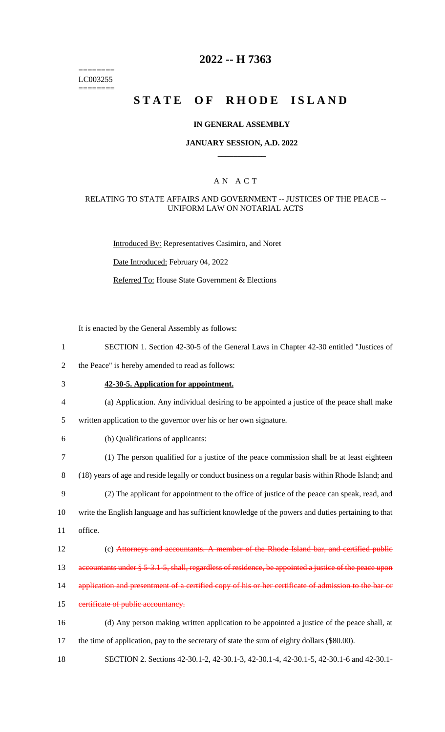======== LC003255  $=$ 

### **2022 -- H 7363**

## STATE OF RHODE ISLAND

### **IN GENERAL ASSEMBLY**

### **JANUARY SESSION, A.D. 2022 \_\_\_\_\_\_\_\_\_\_\_\_**

### A N A C T

### RELATING TO STATE AFFAIRS AND GOVERNMENT -- JUSTICES OF THE PEACE -- UNIFORM LAW ON NOTARIAL ACTS

Introduced By: Representatives Casimiro, and Noret

Date Introduced: February 04, 2022

Referred To: House State Government & Elections

It is enacted by the General Assembly as follows:

| $\mathbf{1}$     | SECTION 1. Section 42-30-5 of the General Laws in Chapter 42-30 entitled "Justices of                 |
|------------------|-------------------------------------------------------------------------------------------------------|
| $\mathbf{2}$     | the Peace" is hereby amended to read as follows:                                                      |
| $\mathfrak{Z}$   | 42-30-5. Application for appointment.                                                                 |
| 4                | (a) Application. Any individual desiring to be appointed a justice of the peace shall make            |
| $\mathfrak{S}$   | written application to the governor over his or her own signature.                                    |
| 6                | (b) Qualifications of applicants:                                                                     |
| $\boldsymbol{7}$ | (1) The person qualified for a justice of the peace commission shall be at least eighteen             |
| $8\,$            | (18) years of age and reside legally or conduct business on a regular basis within Rhode Island; and  |
| 9                | (2) The applicant for appointment to the office of justice of the peace can speak, read, and          |
| 10               | write the English language and has sufficient knowledge of the powers and duties pertaining to that   |
| 11               | office.                                                                                               |
| 12               | (c) Attorneys and accountants. A member of the Rhode Island bar, and certified public                 |
| 13               | accountants under § 5-3.1-5, shall, regardless of residence, be appointed a justice of the peace upon |
| 14               | application and presentment of a certified copy of his or her certificate of admission to the bar or  |
| 15               | certificate of public accountancy.                                                                    |
| 16               | (d) Any person making written application to be appointed a justice of the peace shall, at            |
| 17               | the time of application, pay to the secretary of state the sum of eighty dollars (\$80.00).           |
|                  |                                                                                                       |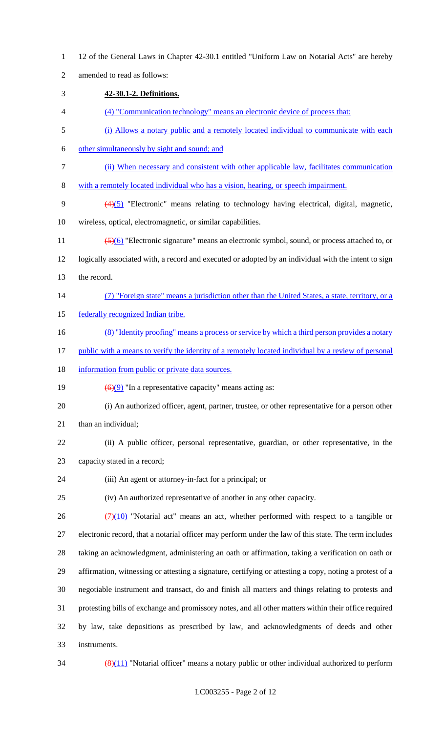12 of the General Laws in Chapter 42-30.1 entitled "Uniform Law on Notarial Acts" are hereby amended to read as follows: **42-30.1-2. Definitions.** (4) "Communication technology" means an electronic device of process that: (i) Allows a notary public and a remotely located individual to communicate with each other simultaneously by sight and sound; and (ii) When necessary and consistent with other applicable law, facilitates communication with a remotely located individual who has a vision, hearing, or speech impairment. (4)(5) "Electronic" means relating to technology having electrical, digital, magnetic, wireless, optical, electromagnetic, or similar capabilities. 11 (5)(6) "Electronic signature" means an electronic symbol, sound, or process attached to, or logically associated with, a record and executed or adopted by an individual with the intent to sign the record. (7) "Foreign state" means a jurisdiction other than the United States, a state, territory, or a 15 federally recognized Indian tribe. 16 (8) "Identity proofing" means a process or service by which a third person provides a notary 17 public with a means to verify the identity of a remotely located individual by a review of personal 18 information from public or private data sources.  $\left(\frac{6}{9}\right)$  "In a representative capacity" means acting as: (i) An authorized officer, agent, partner, trustee, or other representative for a person other 21 than an individual; (ii) A public officer, personal representative, guardian, or other representative, in the capacity stated in a record; (iii) An agent or attorney-in-fact for a principal; or (iv) An authorized representative of another in any other capacity.  $(7)(10)$  "Notarial act" means an act, whether performed with respect to a tangible or electronic record, that a notarial officer may perform under the law of this state. The term includes taking an acknowledgment, administering an oath or affirmation, taking a verification on oath or affirmation, witnessing or attesting a signature, certifying or attesting a copy, noting a protest of a negotiable instrument and transact, do and finish all matters and things relating to protests and protesting bills of exchange and promissory notes, and all other matters within their office required by law, take depositions as prescribed by law, and acknowledgments of deeds and other instruments.  $34 \left( \frac{(8)(11)}{8} \right)$  "Notarial officer" means a notary public or other individual authorized to perform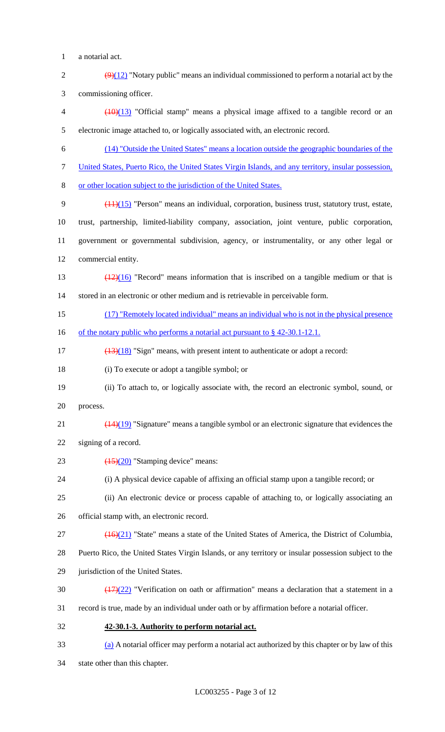- a notarial act.
- 2  $\left(\frac{9}{12}\right)$  "Notary public" means an individual commissioned to perform a notarial act by the commissioning officer.

 (10)(13) "Official stamp" means a physical image affixed to a tangible record or an electronic image attached to, or logically associated with, an electronic record.

- (14) "Outside the United States" means a location outside the geographic boundaries of the
- United States, Puerto Rico, the United States Virgin Islands, and any territory, insular possession,
- or other location subject to the jurisdiction of the United States.
- (11)(15) "Person" means an individual, corporation, business trust, statutory trust, estate, trust, partnership, limited-liability company, association, joint venture, public corporation, government or governmental subdivision, agency, or instrumentality, or any other legal or commercial entity.
- 13  $\left(\frac{(12)(16)}{2}\right)$  "Record" means information that is inscribed on a tangible medium or that is stored in an electronic or other medium and is retrievable in perceivable form.
- (17) "Remotely located individual" means an individual who is not in the physical presence
- 16 of the notary public who performs a notarial act pursuant to § 42-30.1-12.1.
- 17 (13)(18) "Sign" means, with present intent to authenticate or adopt a record:
- (i) To execute or adopt a tangible symbol; or
- (ii) To attach to, or logically associate with, the record an electronic symbol, sound, or process.
- 21  $\left(\frac{(14)(19)}{(14)(19)}\right)$  "Signature" means a tangible symbol or an electronic signature that evidences the
- signing of a record.
- 23  $\left(\frac{(15)}{(20)}\right)$  "Stamping device" means:
- (i) A physical device capable of affixing an official stamp upon a tangible record; or
- (ii) An electronic device or process capable of attaching to, or logically associating an
- official stamp with, an electronic record.
- (16)(21) "State" means a state of the United States of America, the District of Columbia,
- Puerto Rico, the United States Virgin Islands, or any territory or insular possession subject to the
- jurisdiction of the United States.
- 30  $\left(\frac{(17)(22)}{(17)(22)}\right)$  "Verification on oath or affirmation" means a declaration that a statement in a
- record is true, made by an individual under oath or by affirmation before a notarial officer.
- **42-30.1-3. Authority to perform notarial act.**
- (a) A notarial officer may perform a notarial act authorized by this chapter or by law of this
- state other than this chapter.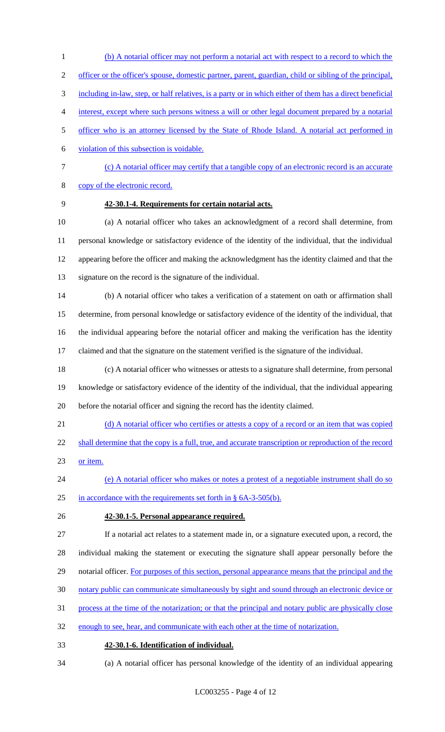- (b) A notarial officer may not perform a notarial act with respect to a record to which the officer or the officer's spouse, domestic partner, parent, guardian, child or sibling of the principal, including in-law, step, or half relatives, is a party or in which either of them has a direct beneficial interest, except where such persons witness a will or other legal document prepared by a notarial officer who is an attorney licensed by the State of Rhode Island. A notarial act performed in violation of this subsection is voidable. (c) A notarial officer may certify that a tangible copy of an electronic record is an accurate
- copy of the electronic record.
- 

### **42-30.1-4. Requirements for certain notarial acts.**

 (a) A notarial officer who takes an acknowledgment of a record shall determine, from personal knowledge or satisfactory evidence of the identity of the individual, that the individual appearing before the officer and making the acknowledgment has the identity claimed and that the signature on the record is the signature of the individual.

 (b) A notarial officer who takes a verification of a statement on oath or affirmation shall determine, from personal knowledge or satisfactory evidence of the identity of the individual, that the individual appearing before the notarial officer and making the verification has the identity claimed and that the signature on the statement verified is the signature of the individual.

- (c) A notarial officer who witnesses or attests to a signature shall determine, from personal knowledge or satisfactory evidence of the identity of the individual, that the individual appearing before the notarial officer and signing the record has the identity claimed.
- 21 (d) A notarial officer who certifies or attests a copy of a record or an item that was copied
- 22 shall determine that the copy is a full, true, and accurate transcription or reproduction of the record or item.
- (e) A notarial officer who makes or notes a protest of a negotiable instrument shall do so in accordance with the requirements set forth in § 6A-3-505(b).
- **42-30.1-5. Personal appearance required.**
- If a notarial act relates to a statement made in, or a signature executed upon, a record, the

individual making the statement or executing the signature shall appear personally before the

- 29 notarial officer. For purposes of this section, personal appearance means that the principal and the
- notary public can communicate simultaneously by sight and sound through an electronic device or
- process at the time of the notarization; or that the principal and notary public are physically close
- enough to see, hear, and communicate with each other at the time of notarization.
- **42-30.1-6. Identification of individual.**
- (a) A notarial officer has personal knowledge of the identity of an individual appearing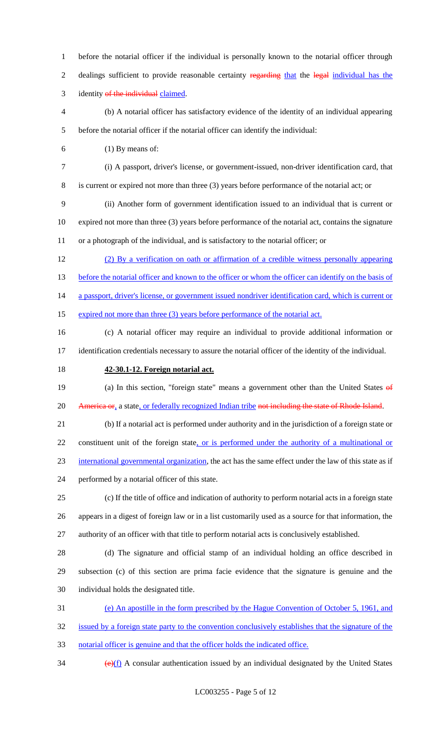before the notarial officer if the individual is personally known to the notarial officer through 2 dealings sufficient to provide reasonable certainty regarding that the legal individual has the 3 identity of the individual claimed. (b) A notarial officer has satisfactory evidence of the identity of an individual appearing before the notarial officer if the notarial officer can identify the individual: (1) By means of: (i) A passport, driver's license, or government-issued, non-driver identification card, that is current or expired not more than three (3) years before performance of the notarial act; or (ii) Another form of government identification issued to an individual that is current or expired not more than three (3) years before performance of the notarial act, contains the signature or a photograph of the individual, and is satisfactory to the notarial officer; or (2) By a verification on oath or affirmation of a credible witness personally appearing 13 before the notarial officer and known to the officer or whom the officer can identify on the basis of 14 a passport, driver's license, or government issued nondriver identification card, which is current or 15 expired not more than three (3) years before performance of the notarial act. (c) A notarial officer may require an individual to provide additional information or identification credentials necessary to assure the notarial officer of the identity of the individual. **42-30.1-12. Foreign notarial act.** 19 (a) In this section, "foreign state" means a government other than the United States of 20 America or, a state, or federally recognized Indian tribe not including the state of Rhode Island. (b) If a notarial act is performed under authority and in the jurisdiction of a foreign state or 22 constituent unit of the foreign state, or is performed under the authority of a multinational or international governmental organization, the act has the same effect under the law of this state as if performed by a notarial officer of this state. (c) If the title of office and indication of authority to perform notarial acts in a foreign state appears in a digest of foreign law or in a list customarily used as a source for that information, the authority of an officer with that title to perform notarial acts is conclusively established. (d) The signature and official stamp of an individual holding an office described in subsection (c) of this section are prima facie evidence that the signature is genuine and the individual holds the designated title. (e) An apostille in the form prescribed by the Hague Convention of October 5, 1961, and issued by a foreign state party to the convention conclusively establishes that the signature of the notarial officer is genuine and that the officer holds the indicated office.

 $\left(\frac{e}{f}\right)$  A consular authentication issued by an individual designated by the United States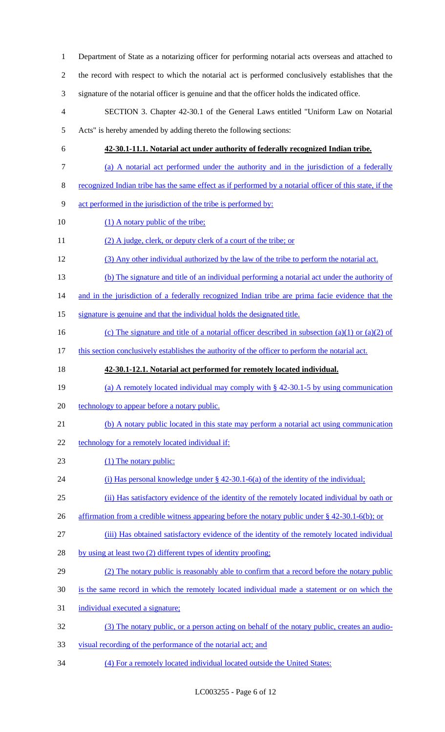| $\mathbf{1}$   | Department of State as a notarizing officer for performing notarial acts overseas and attached to       |
|----------------|---------------------------------------------------------------------------------------------------------|
| $\overline{2}$ | the record with respect to which the notarial act is performed conclusively establishes that the        |
| 3              | signature of the notarial officer is genuine and that the officer holds the indicated office.           |
| $\overline{4}$ | SECTION 3. Chapter 42-30.1 of the General Laws entitled "Uniform Law on Notarial                        |
| $\mathfrak{S}$ | Acts" is hereby amended by adding thereto the following sections:                                       |
| 6              | 42-30.1-11.1. Notarial act under authority of federally recognized Indian tribe.                        |
| $\tau$         | (a) A notarial act performed under the authority and in the jurisdiction of a federally                 |
| $8\,$          | recognized Indian tribe has the same effect as if performed by a notarial officer of this state, if the |
| 9              | act performed in the jurisdiction of the tribe is performed by:                                         |
| 10             | (1) A notary public of the tribe;                                                                       |
| 11             | (2) A judge, clerk, or deputy clerk of a court of the tribe; or                                         |
| 12             | (3) Any other individual authorized by the law of the tribe to perform the notarial act.                |
| 13             | (b) The signature and title of an individual performing a notarial act under the authority of           |
| 14             | and in the jurisdiction of a federally recognized Indian tribe are prima facie evidence that the        |
| 15             | signature is genuine and that the individual holds the designated title.                                |
| 16             | (c) The signature and title of a notarial officer described in subsection (a)(1) or (a)(2) of           |
| 17             | this section conclusively establishes the authority of the officer to perform the notarial act.         |
|                |                                                                                                         |
| 18             | 42-30.1-12.1. Notarial act performed for remotely located individual.                                   |
| 19             | (a) A remotely located individual may comply with $\S$ 42-30.1-5 by using communication                 |
| 20             | technology to appear before a notary public.                                                            |
| 21             | (b) A notary public located in this state may perform a notarial act using communication                |
| 22             | technology for a remotely located individual if:                                                        |
| 23             | (1) The notary public:                                                                                  |
| 24             | (i) Has personal knowledge under $\S$ 42-30.1-6(a) of the identity of the individual;                   |
| 25             | (ii) Has satisfactory evidence of the identity of the remotely located individual by oath or            |
| 26             | affirmation from a credible witness appearing before the notary public under $\S$ 42-30.1-6(b); or      |
| 27             | (iii) Has obtained satisfactory evidence of the identity of the remotely located individual             |
| 28             | by using at least two (2) different types of identity proofing;                                         |
| 29             | (2) The notary public is reasonably able to confirm that a record before the notary public              |
| 30             | is the same record in which the remotely located individual made a statement or on which the            |
| 31             | individual executed a signature;                                                                        |
| 32             | (3) The notary public, or a person acting on behalf of the notary public, creates an audio-             |
| 33             | visual recording of the performance of the notarial act; and                                            |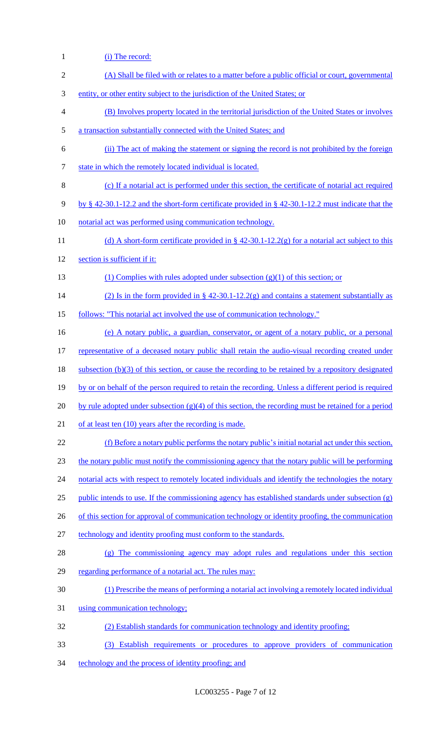(i) The record: (A) Shall be filed with or relates to a matter before a public official or court, governmental entity, or other entity subject to the jurisdiction of the United States; or (B) Involves property located in the territorial jurisdiction of the United States or involves a transaction substantially connected with the United States; and (ii) The act of making the statement or signing the record is not prohibited by the foreign 7 state in which the remotely located individual is located. (c) If a notarial act is performed under this section, the certificate of notarial act required by § 42-30.1-12.2 and the short-form certificate provided in § 42-30.1-12.2 must indicate that the notarial act was performed using communication technology. 11 (d) A short-form certificate provided in § 42-30.1-12.2(g) for a notarial act subject to this section is sufficient if it: (1) Complies with rules adopted under subsection (g)(1) of this section; or 14 (2) Is in the form provided in § 42-30.1-12.2(g) and contains a statement substantially as follows: "This notarial act involved the use of communication technology." (e) A notary public, a guardian, conservator, or agent of a notary public, or a personal 17 representative of a deceased notary public shall retain the audio-visual recording created under subsection (b)(3) of this section, or cause the recording to be retained by a repository designated by or on behalf of the person required to retain the recording. Unless a different period is required 20 by rule adopted under subsection  $(g)(4)$  of this section, the recording must be retained for a period 21 of at least ten (10) years after the recording is made. (f) Before a notary public performs the notary public's initial notarial act under this section, the notary public must notify the commissioning agency that the notary public will be performing 24 notarial acts with respect to remotely located individuals and identify the technologies the notary 25 public intends to use. If the commissioning agency has established standards under subsection  $(g)$ 26 of this section for approval of communication technology or identity proofing, the communication technology and identity proofing must conform to the standards. (g) The commissioning agency may adopt rules and regulations under this section 29 regarding performance of a notarial act. The rules may: (1) Prescribe the means of performing a notarial act involving a remotely located individual using communication technology; (2) Establish standards for communication technology and identity proofing; (3) Establish requirements or procedures to approve providers of communication technology and the process of identity proofing; and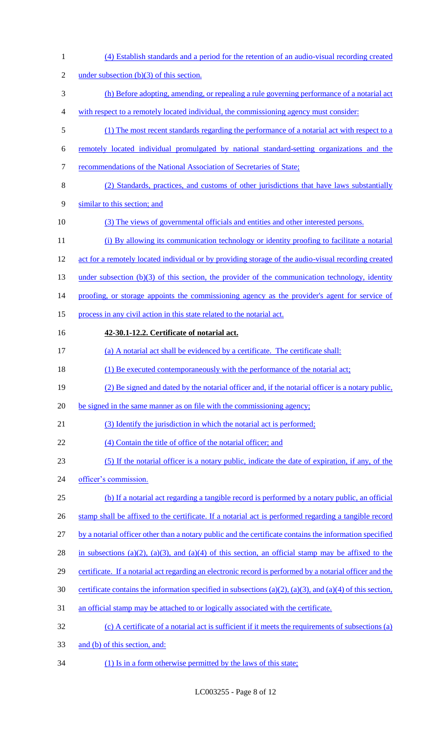| $\mathbf{1}$   | (4) Establish standards and a period for the retention of an audio-visual recording created               |
|----------------|-----------------------------------------------------------------------------------------------------------|
| $\overline{c}$ | under subsection $(b)(3)$ of this section.                                                                |
| 3              | (h) Before adopting, amending, or repealing a rule governing performance of a notarial act                |
| 4              | with respect to a remotely located individual, the commissioning agency must consider:                    |
| 5              | (1) The most recent standards regarding the performance of a notarial act with respect to a               |
| 6              | remotely located individual promulgated by national standard-setting organizations and the                |
| $\tau$         | recommendations of the National Association of Secretaries of State;                                      |
| $8\,$          | (2) Standards, practices, and customs of other jurisdictions that have laws substantially                 |
| 9              | similar to this section; and                                                                              |
| 10             | (3) The views of governmental officials and entities and other interested persons.                        |
| 11             | (i) By allowing its communication technology or identity proofing to facilitate a notarial                |
| 12             | act for a remotely located individual or by providing storage of the audio-visual recording created       |
| 13             | under subsection $(b)(3)$ of this section, the provider of the communication technology, identity         |
| 14             | proofing, or storage appoints the commissioning agency as the provider's agent for service of             |
| 15             | process in any civil action in this state related to the notarial act.                                    |
| 16             | 42-30.1-12.2. Certificate of notarial act.                                                                |
| 17             | (a) A notarial act shall be evidenced by a certificate. The certificate shall:                            |
| 18             | (1) Be executed contemporaneously with the performance of the notarial act;                               |
| 19             | (2) Be signed and dated by the notarial officer and, if the notarial officer is a notary public,          |
| 20             | be signed in the same manner as on file with the commissioning agency;                                    |
| 21             | (3) Identify the jurisdiction in which the notarial act is performed;                                     |
| 22             | (4) Contain the title of office of the notarial officer; and                                              |
| 23             | (5) If the notarial officer is a notary public, indicate the date of expiration, if any, of the           |
| 24             | officer's commission.                                                                                     |
| 25             | (b) If a notarial act regarding a tangible record is performed by a notary public, an official            |
| 26             | stamp shall be affixed to the certificate. If a notarial act is performed regarding a tangible record     |
| 27             | by a notarial officer other than a notary public and the certificate contains the information specified   |
| 28             | in subsections (a)(2), (a)(3), and (a)(4) of this section, an official stamp may be affixed to the        |
| 29             | certificate. If a notarial act regarding an electronic record is performed by a notarial officer and the  |
| 30             | certificate contains the information specified in subsections (a)(2), (a)(3), and (a)(4) of this section, |
| 31             | an official stamp may be attached to or logically associated with the certificate.                        |
| 32             | (c) A certificate of a notarial act is sufficient if it meets the requirements of subsections (a)         |
| 33             | and (b) of this section, and:                                                                             |
|                |                                                                                                           |

34 (1) Is in a form otherwise permitted by the laws of this state;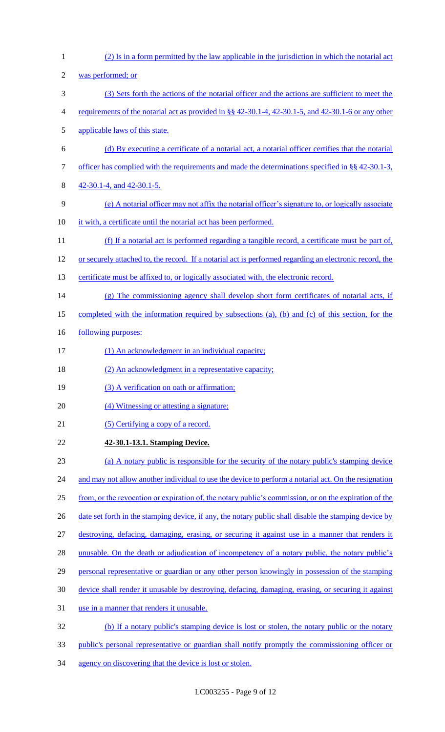(2) Is in a form permitted by the law applicable in the jurisdiction in which the notarial act was performed; or (3) Sets forth the actions of the notarial officer and the actions are sufficient to meet the 4 requirements of the notarial act as provided in §§ 42-30.1-4, 42-30.1-5, and 42-30.1-6 or any other applicable laws of this state. (d) By executing a certificate of a notarial act, a notarial officer certifies that the notarial 7 officer has complied with the requirements and made the determinations specified in §§ 42-30.1-3, 42-30.1-4, and 42-30.1-5. (e) A notarial officer may not affix the notarial officer's signature to, or logically associate it with, a certificate until the notarial act has been performed. (f) If a notarial act is performed regarding a tangible record, a certificate must be part of, or securely attached to, the record. If a notarial act is performed regarding an electronic record, the 13 certificate must be affixed to, or logically associated with, the electronic record. (g) The commissioning agency shall develop short form certificates of notarial acts, if completed with the information required by subsections (a), (b) and (c) of this section, for the 16 <u>following purposes:</u> 17 (1) An acknowledgment in an individual capacity; 18 (2) An acknowledgment in a representative capacity; 19 (3) A verification on oath or affirmation; (4) Witnessing or attesting a signature; 21 (5) Certifying a copy of a record. **42-30.1-13.1. Stamping Device.**  (a) A notary public is responsible for the security of the notary public's stamping device 24 and may not allow another individual to use the device to perform a notarial act. On the resignation from, or the revocation or expiration of, the notary public's commission, or on the expiration of the 26 date set forth in the stamping device, if any, the notary public shall disable the stamping device by destroying, defacing, damaging, erasing, or securing it against use in a manner that renders it 28 unusable. On the death or adjudication of incompetency of a notary public, the notary public's personal representative or guardian or any other person knowingly in possession of the stamping device shall render it unusable by destroying, defacing, damaging, erasing, or securing it against use in a manner that renders it unusable. (b) If a notary public's stamping device is lost or stolen, the notary public or the notary public's personal representative or guardian shall notify promptly the commissioning officer or 34 agency on discovering that the device is lost or stolen.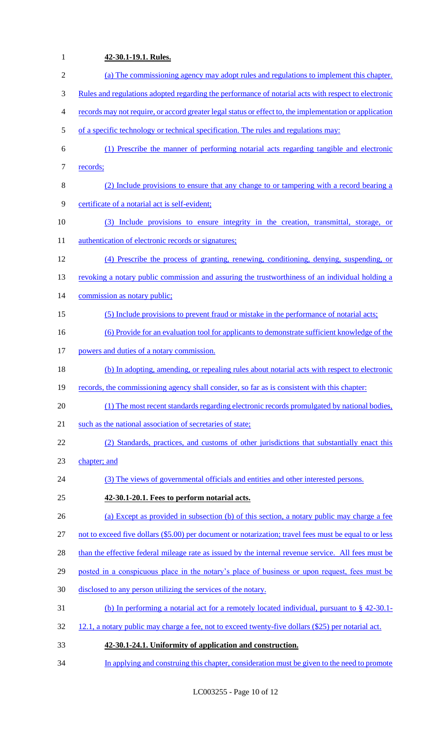# **42-30.1-19.1. Rules.**  (a) The commissioning agency may adopt rules and regulations to implement this chapter. Rules and regulations adopted regarding the performance of notarial acts with respect to electronic records may not require, or accord greater legal status or effect to, the implementation or application 5 of a specific technology or technical specification. The rules and regulations may: (1) Prescribe the manner of performing notarial acts regarding tangible and electronic 7 records; (2) Include provisions to ensure that any change to or tampering with a record bearing a certificate of a notarial act is self-evident; (3) Include provisions to ensure integrity in the creation, transmittal, storage, or 11 authentication of electronic records or signatures; (4) Prescribe the process of granting, renewing, conditioning, denying, suspending, or 13 revoking a notary public commission and assuring the trustworthiness of an individual holding a 14 commission as notary public; (5) Include provisions to prevent fraud or mistake in the performance of notarial acts; (6) Provide for an evaluation tool for applicants to demonstrate sufficient knowledge of the powers and duties of a notary commission. (b) In adopting, amending, or repealing rules about notarial acts with respect to electronic records, the commissioning agency shall consider, so far as is consistent with this chapter: (1) The most recent standards regarding electronic records promulgated by national bodies, 21 such as the national association of secretaries of state; (2) Standards, practices, and customs of other jurisdictions that substantially enact this chapter; and (3) The views of governmental officials and entities and other interested persons. **42-30.1-20.1. Fees to perform notarial acts.**  (a) Except as provided in subsection (b) of this section, a notary public may charge a fee not to exceed five dollars (\$5.00) per document or notarization; travel fees must be equal to or less 28 than the effective federal mileage rate as issued by the internal revenue service. All fees must be 29 posted in a conspicuous place in the notary's place of business or upon request, fees must be disclosed to any person utilizing the services of the notary. (b) In performing a notarial act for a remotely located individual, pursuant to § 42-30.1- 32 12.1, a notary public may charge a fee, not to exceed twenty-five dollars (\$25) per notarial act. **42-30.1-24.1. Uniformity of application and construction.**  In applying and construing this chapter, consideration must be given to the need to promote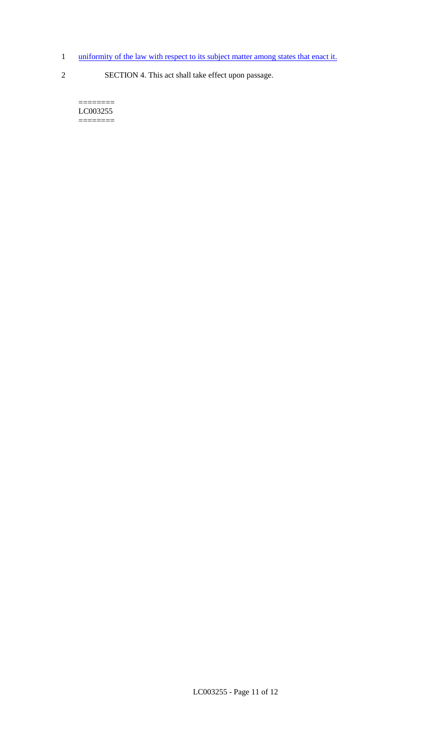- 1 uniformity of the law with respect to its subject matter among states that enact it.
- 2 SECTION 4. This act shall take effect upon passage.

 $=$ LC003255  $=$